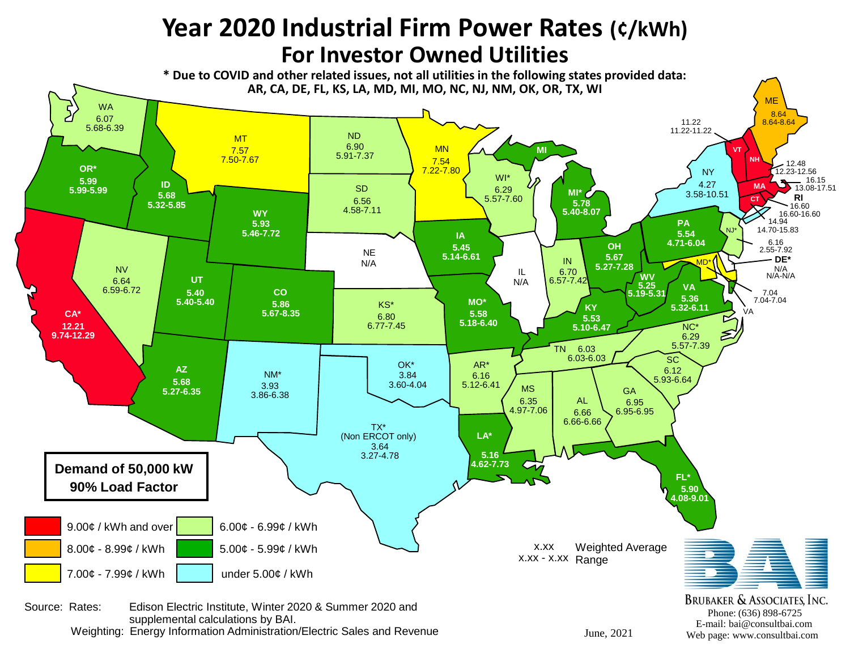## **Year 2020 Industrial Firm Power Rates (¢/kWh) For Investor Owned Utilities**

**\* Due to COVID and other related issues, not all utilities in the following states provided data: AR, CA, DE, FL, KS, LA, MD, MI, MO, NC, NJ, NM, OK, OR, TX, WI**



Weighting: Energy Information Administration/Electric Sales and Revenue

June, 2021 Web page: www.consultbai.com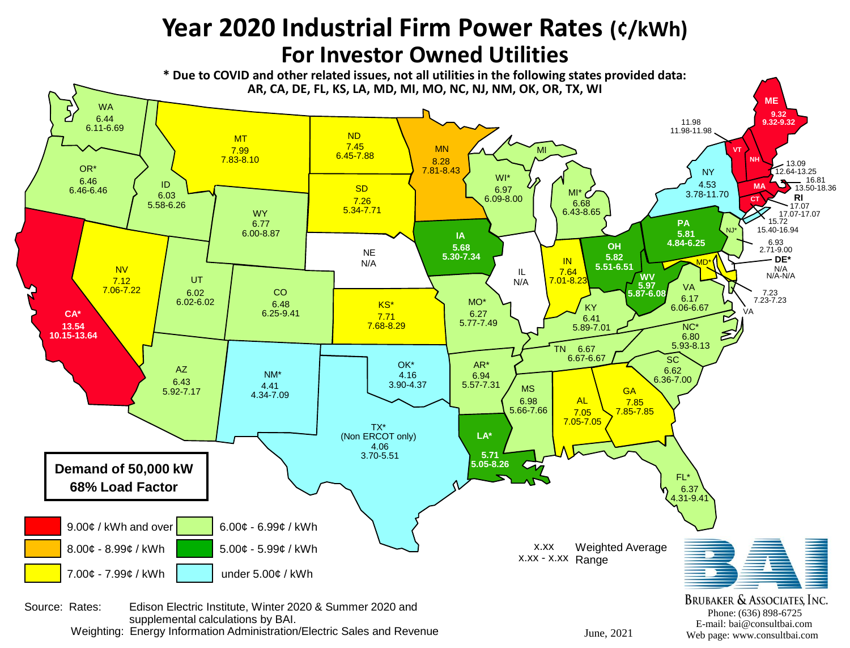## **Year 2020 Industrial Firm Power Rates (¢/kWh) For Investor Owned Utilities**

**\* Due to COVID and other related issues, not all utilities in the following states provided data: AR, CA, DE, FL, KS, LA, MD, MI, MO, NC, NJ, NM, OK, OR, TX, WI**



supplemental calculations by BAI. Weighting: Energy Information Administration/Electric Sales and Revenue

E-mail: bai@consultbai.com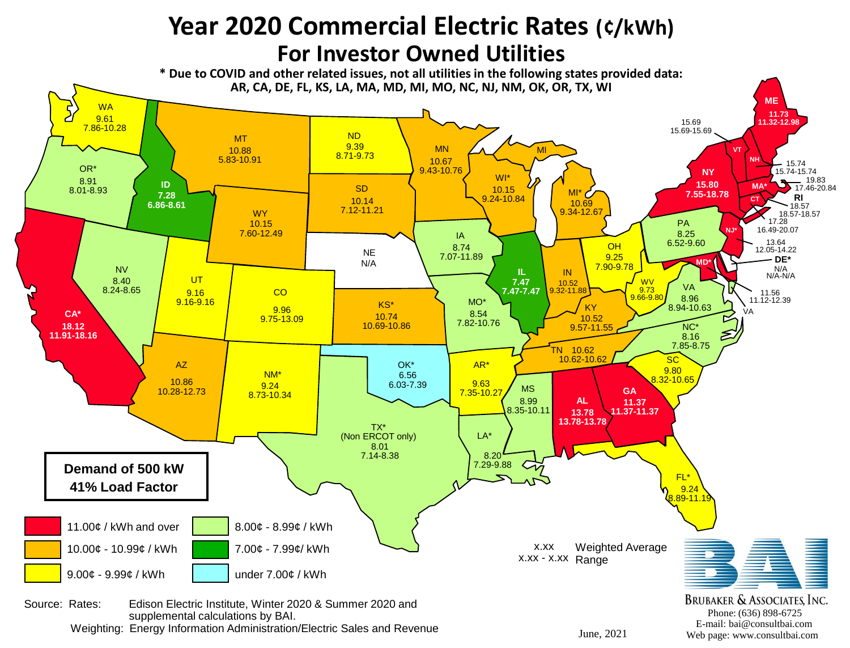## **Year 2020 Commercial Electric Rates (¢/kWh) For Investor Owned Utilities**

**\* Due to COVID and other related issues, not all utilities in the following states provided data: AR, CA, DE, FL, KS, LA, MA, MD, MI, MO, NC, NJ, NM, OK, OR, TX, WI**



June, 2021 Web page: www.consultbai.com